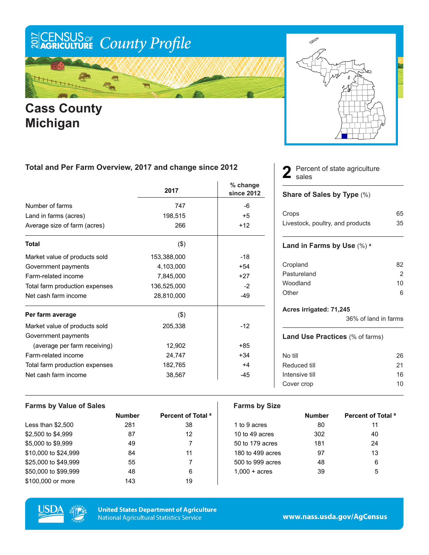# ECENSUS OF County Profile

m  $\frac{1}{2}$ 

**Cass County**

**Michigan**

### **Total and Per Farm Overview, 2017 and change since 2012**

|                                | 2017        | $%$ change<br>since 2012 |
|--------------------------------|-------------|--------------------------|
| Number of farms                | 747         | -6                       |
| Land in farms (acres)          | 198,515     | $+5$                     |
| Average size of farm (acres)   | 266         | $+12$                    |
| <b>Total</b>                   | $($ \$)     |                          |
| Market value of products sold  | 153,388,000 | $-18$                    |
| Government payments            | 4,103,000   | $+54$                    |
| Farm-related income            | 7,845,000   | $+27$                    |
| Total farm production expenses | 136,525,000 | $-2$                     |
| Net cash farm income           | 28,810,000  | $-49$                    |
| Per farm average               | $($ \$)     |                          |
| Market value of products sold  | 205,338     | $-12$                    |
| Government payments            |             |                          |
| (average per farm receiving)   | 12,902      | +85                      |
| Farm-related income            | 24,747      | $+34$                    |
| Total farm production expenses | 182,765     | $+4$                     |
| Net cash farm income           | 38,567      | -45                      |



Percent of state agriculture 2 Perce

#### **Share of Sales by Type** (%)

| Crops                            | 65 |
|----------------------------------|----|
| Livestock, poultry, and products | 35 |

#### **Land in Farms by Use** (%) **<sup>a</sup>**

| 82 |
|----|
| 2  |
| 10 |
| 6  |
|    |

#### **Acres irrigated: 71,245**

36% of land in farms

#### **Land Use Practices** (% of farms)

| No till        | 26 |
|----------------|----|
| Reduced till   | 21 |
| Intensive till | 16 |
| Cover crop     | 10 |
|                |    |

| <b>Farms by Value of Sales</b> |               |                               | <b>Farms by Size</b>   |               |                               |
|--------------------------------|---------------|-------------------------------|------------------------|---------------|-------------------------------|
|                                | <b>Number</b> | Percent of Total <sup>a</sup> |                        | <b>Number</b> | Percent of Total <sup>a</sup> |
| Less than $$2,500$             | 281           | 38                            | 1 to 9 acres           | 80            | 11                            |
| \$2,500 to \$4,999             | 87            | 12                            | 10 to 49 acres         | 302           | 40                            |
| \$5,000 to \$9,999             | 49            |                               | 50 to 179 acres        | 181           | 24                            |
| \$10,000 to \$24,999           | 84            | 11                            | 180 to 499 acres       | 97            | 13                            |
| \$25,000 to \$49,999           | 55            |                               | 500 to 999 acres       | 48            | 6                             |
| \$50,000 to \$99,999           | 48            | 6                             | $1.000 + \text{acres}$ | 39            | 5                             |
| \$100,000 or more              | 143           | 19                            |                        |               |                               |



**United States Department of Agriculture National Agricultural Statistics Service** 

www.nass.usda.gov/AgCensus